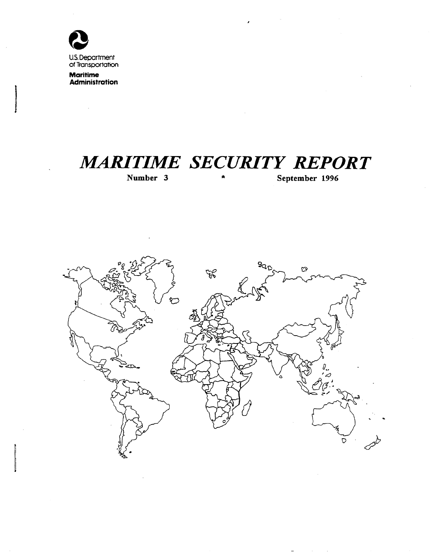

of Transportation

**Maritime** Administration

 $\bar{z}$ 

# **MARITIME SECURITY REPORT**

Number 3

September 1996

 $\mathcal{L}^{\mathcal{L}}(\mathcal{L}^{\mathcal{L}})$  and  $\mathcal{L}^{\mathcal{L}}(\mathcal{L}^{\mathcal{L}})$  . Then

 $\omega$ 

 $\alpha$  .

 $\bar{\pmb{\cdot}}$ 

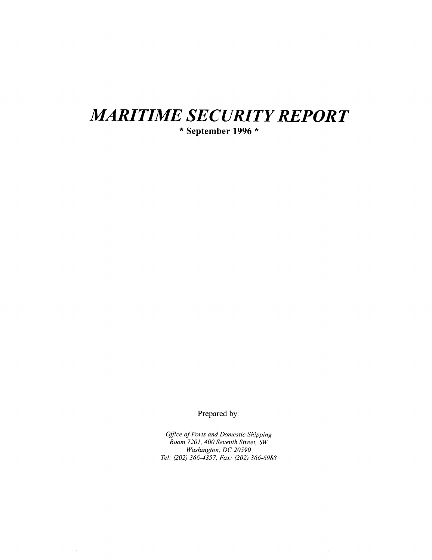# **MARITIME SECURITY REPORT**

 $*$  September 1996  $*$ 

Prepared by:

Office of Ports and Domestic Shipping<br>Room 7201, 400 Seventh Street, SW Washington, DC 20590 Tel: (202) 366-4357, Fax: (202) 366-6988

 $\hat{\boldsymbol{\lambda}}$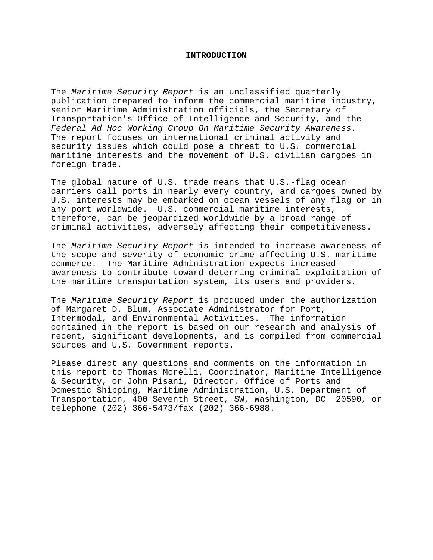#### **INTRODUCTION**

The *Maritime Security Report* is an unclassified quarterly publication prepared to inform the commercial maritime industry, senior Maritime Administration officials, the Secretary of Transportation's Office of Intelligence and Security, and the *Federal Ad Hoc Working Group On Maritime Security Awareness*. The report focuses on international criminal activity and security issues which could pose a threat to U.S. commercial maritime interests and the movement of U.S. civilian cargoes in foreign trade.

The global nature of U.S. trade means that U.S.-flag ocean carriers call ports in nearly every country, and cargoes owned by U.S. interests may be embarked on ocean vessels of any flag or in any port worldwide. U.S. commercial maritime interests, therefore, can be jeopardized worldwide by a broad range of criminal activities, adversely affecting their competitiveness.

The *Maritime Security Report* is intended to increase awareness of the scope and severity of economic crime affecting U.S. maritime commerce. The Maritime Administration expects increased awareness to contribute toward deterring criminal exploitation of the maritime transportation system, its users and providers.

The *Maritime Security Report* is produced under the authorization of Margaret D. Blum, Associate Administrator for Port, Intermodal, and Environmental Activities. The information contained in the report is based on our research and analysis of recent, significant developments, and is compiled from commercial sources and U.S. Government reports.

Please direct any questions and comments on the information in this report to Thomas Morelli, Coordinator, Maritime Intelligence & Security, or John Pisani, Director, Office of Ports and Domestic Shipping, Maritime Administration, U.S. Department of Transportation, 400 Seventh Street, SW, Washington, DC 20590, or telephone (202) 366-5473/fax (202) 366-6988.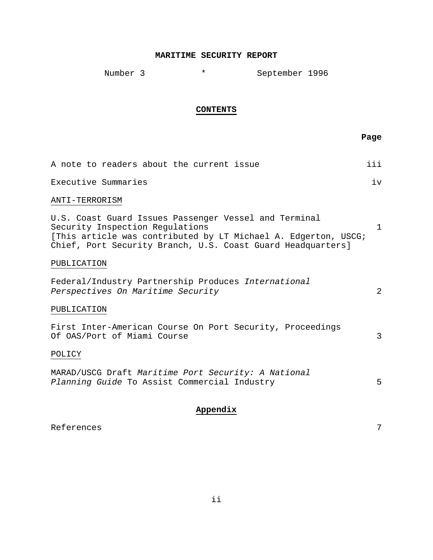#### **MARITIME SECURITY REPORT**

Number 3 \* September 1996

#### **CONTENTS**

**Page** of the contract of the contract of the contract of the contract of the contract of the contract of the contract of the contract of the contract of the contract of the contract of the contract of the contract of the

|                     | A note to readers about the current issue |  | iii |
|---------------------|-------------------------------------------|--|-----|
| Executive Summaries |                                           |  | ז ד |

#### ANTI-TERRORISM

U.S. Coast Guard Issues Passenger Vessel and Terminal Security Inspection Regulations 1 [This article was contributed by LT Michael A. Edgerton, USCG; Chief, Port Security Branch, U.S. Coast Guard Headquarters]

#### PUBLICATION

Federal/Industry Partnership Produces *International Perspectives On Maritime Security* 2

### PUBLICATION

|  |  |                             |  | First Inter-American Course On Port Security, Proceedings |  |
|--|--|-----------------------------|--|-----------------------------------------------------------|--|
|  |  | Of OAS/Port of Miami Course |  |                                                           |  |

POLICY

MARAD/USCG Draft *Maritime Port Security: A National Planning Guide* To Assist Commercial Industry 5

#### **Appendix**

References 7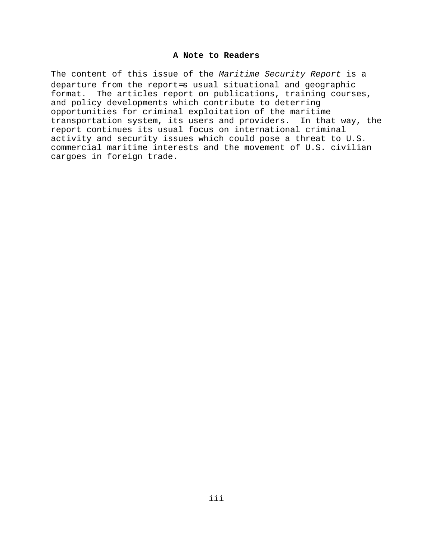#### **A Note to Readers**

The content of this issue of the *Maritime Security Report* is a departure from the report=s usual situational and geographic format. The articles report on publications, training courses, and policy developments which contribute to deterring opportunities for criminal exploitation of the maritime transportation system, its users and providers. In that way, the report continues its usual focus on international criminal activity and security issues which could pose a threat to U.S. commercial maritime interests and the movement of U.S. civilian cargoes in foreign trade.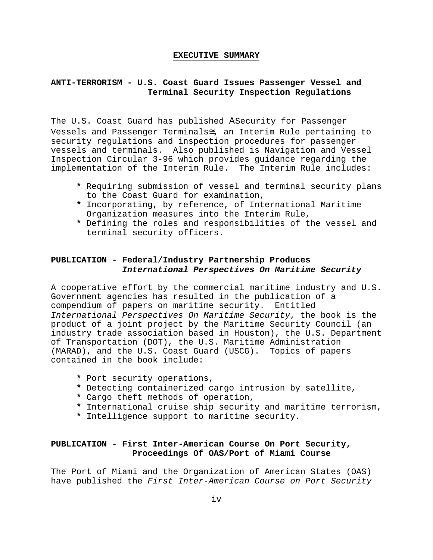#### **EXECUTIVE SUMMARY**

# **ANTI-TERRORISM - U.S. Coast Guard Issues Passenger Vessel and Terminal Security Inspection Regulations**

The U.S. Coast Guard has published ΑSecurity for Passenger Vessels and Passenger Terminals≅, an Interim Rule pertaining to security regulations and inspection procedures for passenger vessels and terminals. Also published is Navigation and Vessel Inspection Circular 3-96 which provides guidance regarding the implementation of the Interim Rule. The Interim Rule includes:

- **\*** Requiring submission of vessel and terminal security plans to the Coast Guard for examination,
- **\*** Incorporating, by reference, of International Maritime Organization measures into the Interim Rule,
- **\*** Defining the roles and responsibilities of the vessel and terminal security officers.

## **PUBLICATION - Federal/Industry Partnership Produces** *International Perspectives On Maritime Security*

A cooperative effort by the commercial maritime industry and U.S. Government agencies has resulted in the publication of a compendium of papers on maritime security. Entitled *International Perspectives On Maritime Security*, the book is the product of a joint project by the Maritime Security Council (an industry trade association based in Houston), the U.S. Department of Transportation (DOT), the U.S. Maritime Administration (MARAD), and the U.S. Coast Guard (USCG). Topics of papers contained in the book include:

- **\*** Port security operations,
- **\*** Detecting containerized cargo intrusion by satellite,
- **\*** Cargo theft methods of operation,
- **\*** International cruise ship security and maritime terrorism,
- **\*** Intelligence support to maritime security.

## **PUBLICATION - First Inter-American Course On Port Security, Proceedings Of OAS/Port of Miami Course**

The Port of Miami and the Organization of American States (OAS) have published the *First Inter-American Course on Port Security*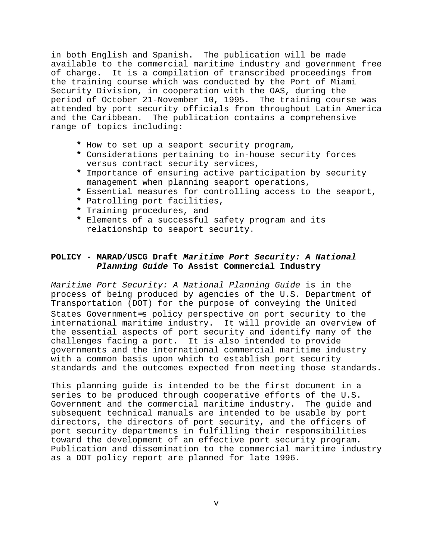in both English and Spanish. The publication will be made available to the commercial maritime industry and government free of charge. It is a compilation of transcribed proceedings from the training course which was conducted by the Port of Miami Security Division, in cooperation with the OAS, during the period of October 21-November 10, 1995. The training course was attended by port security officials from throughout Latin America and the Caribbean. The publication contains a comprehensive range of topics including:

- **\*** How to set up a seaport security program,
- **\*** Considerations pertaining to in-house security forces versus contract security services,
- **\*** Importance of ensuring active participation by security management when planning seaport operations,
- **\*** Essential measures for controlling access to the seaport,
- **\*** Patrolling port facilities,
- **\*** Training procedures, and
- **\*** Elements of a successful safety program and its relationship to seaport security.

# **POLICY - MARAD/USCG Draft** *Maritime Port Security: A National Planning Guide* **To Assist Commercial Industry**

*Maritime Port Security: A National Planning Guide* is in the process of being produced by agencies of the U.S. Department of Transportation (DOT) for the purpose of conveying the United States Government=s policy perspective on port security to the international maritime industry. It will provide an overview of the essential aspects of port security and identify many of the challenges facing a port. It is also intended to provide governments and the international commercial maritime industry with a common basis upon which to establish port security standards and the outcomes expected from meeting those standards.

This planning guide is intended to be the first document in a series to be produced through cooperative efforts of the U.S. Government and the commercial maritime industry. The guide and subsequent technical manuals are intended to be usable by port directors, the directors of port security, and the officers of port security departments in fulfilling their responsibilities toward the development of an effective port security program. Publication and dissemination to the commercial maritime industry as a DOT policy report are planned for late 1996.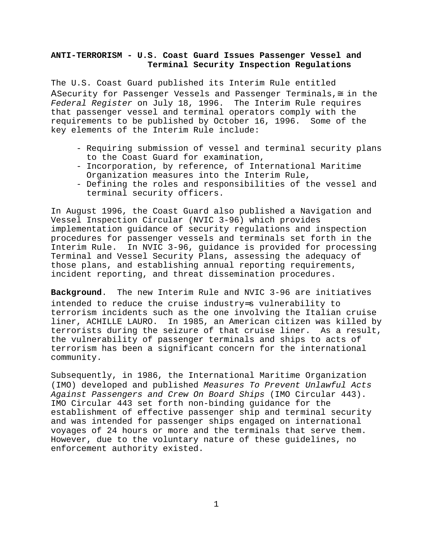## **ANTI-TERRORISM - U.S. Coast Guard Issues Passenger Vessel and Terminal Security Inspection Regulations**

The U.S. Coast Guard published its Interim Rule entitled ΑSecurity for Passenger Vessels and Passenger Terminals,≅ in the *Federal Register* on July 18, 1996. The Interim Rule requires that passenger vessel and terminal operators comply with the requirements to be published by October 16, 1996. Some of the key elements of the Interim Rule include:

- Requiring submission of vessel and terminal security plans to the Coast Guard for examination,
- Incorporation, by reference, of International Maritime Organization measures into the Interim Rule,
- Defining the roles and responsibilities of the vessel and terminal security officers.

In August 1996, the Coast Guard also published a Navigation and Vessel Inspection Circular (NVIC 3-96) which provides implementation guidance of security regulations and inspection procedures for passenger vessels and terminals set forth in the Interim Rule. In NVIC 3-96, guidance is provided for processing Terminal and Vessel Security Plans, assessing the adequacy of those plans, and establishing annual reporting requirements, incident reporting, and threat dissemination procedures.

**Background**. The new Interim Rule and NVIC 3-96 are initiatives intended to reduce the cruise industry=s vulnerability to terrorism incidents such as the one involving the Italian cruise liner, ACHILLE LAURO. In 1985, an American citizen was killed by terrorists during the seizure of that cruise liner. As a result, the vulnerability of passenger terminals and ships to acts of terrorism has been a significant concern for the international community.

Subsequently, in 1986, the International Maritime Organization (IMO) developed and published *Measures To Prevent Unlawful Acts Against Passengers and Crew On Board Ships* (IMO Circular 443). IMO Circular 443 set forth non-binding guidance for the establishment of effective passenger ship and terminal security and was intended for passenger ships engaged on international voyages of 24 hours or more and the terminals that serve them. However, due to the voluntary nature of these guidelines, no enforcement authority existed.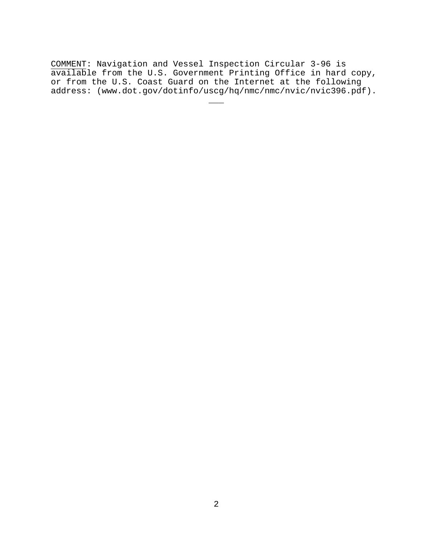COMMENT: Navigation and Vessel Inspection Circular 3-96 is available from the U.S. Government Printing Office in hard copy, or from the U.S. Coast Guard on the Internet at the following address: (www.dot.gov/dotinfo/uscg/hq/nmc/nmc/nvic/nvic396.pdf).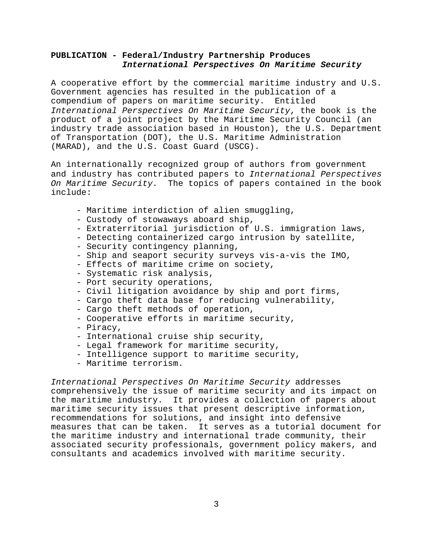### **PUBLICATION - Federal/Industry Partnership Produces** *International Perspectives On Maritime Security*

A cooperative effort by the commercial maritime industry and U.S. Government agencies has resulted in the publication of a compendium of papers on maritime security. Entitled *International Perspectives On Maritime Security*, the book is the product of a joint project by the Maritime Security Council (an industry trade association based in Houston), the U.S. Department of Transportation (DOT), the U.S. Maritime Administration (MARAD), and the U.S. Coast Guard (USCG).

An internationally recognized group of authors from government and industry has contributed papers to *International Perspectives On Maritime Security.* The topics of papers contained in the book include:

- Maritime interdiction of alien smuggling,
- Custody of stowaways aboard ship,
- Extraterritorial jurisdiction of U.S. immigration laws,
- Detecting containerized cargo intrusion by satellite,
- Security contingency planning,
- Ship and seaport security surveys vis-a-vis the IMO,
- Effects of maritime crime on society,
- Systematic risk analysis,
- Port security operations,
- Civil litigation avoidance by ship and port firms,
- Cargo theft data base for reducing vulnerability,
- Cargo theft methods of operation,
- Cooperative efforts in maritime security,
- Piracy,
- International cruise ship security,
- Legal framework for maritime security,
- Intelligence support to maritime security,
- Maritime terrorism.

*International Perspectives On Maritime Security* addresses comprehensively the issue of maritime security and its impact on the maritime industry. It provides a collection of papers about maritime security issues that present descriptive information, recommendations for solutions, and insight into defensive measures that can be taken. It serves as a tutorial document for the maritime industry and international trade community, their associated security professionals, government policy makers, and consultants and academics involved with maritime security.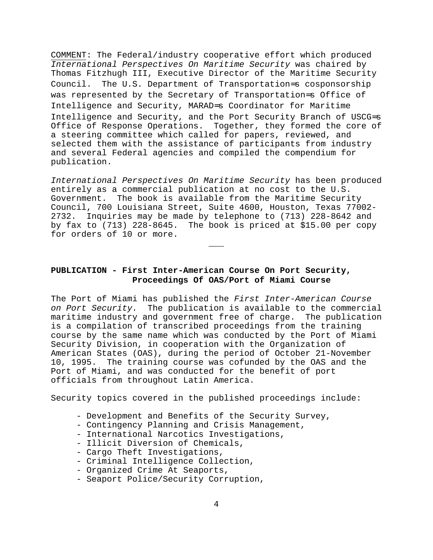COMMENT: The Federal/industry cooperative effort which produced *International Perspectives On Maritime Security* was chaired by Thomas Fitzhugh III, Executive Director of the Maritime Security Council. The U.S. Department of Transportation=s cosponsorship was represented by the Secretary of Transportation=s Office of Intelligence and Security, MARAD=s Coordinator for Maritime Intelligence and Security, and the Port Security Branch of USCG=s Office of Response Operations. Together, they formed the core of a steering committee which called for papers, reviewed, and selected them with the assistance of participants from industry and several Federal agencies and compiled the compendium for publication.

*International Perspectives On Maritime Security* has been produced entirely as a commercial publication at no cost to the U.S. Government. The book is available from the Maritime Security Council, 700 Louisiana Street, Suite 4600, Houston, Texas 77002- 2732. Inquiries may be made by telephone to (713) 228-8642 and by fax to (713) 228-8645. The book is priced at \$15.00 per copy for orders of 10 or more.

\_\_\_

# **PUBLICATION - First Inter-American Course On Port Security, Proceedings Of OAS/Port of Miami Course**

The Port of Miami has published the *First Inter-American Course on Port Security.* The publication is available to the commercial maritime industry and government free of charge. The publication is a compilation of transcribed proceedings from the training course by the same name which was conducted by the Port of Miami Security Division, in cooperation with the Organization of American States (OAS), during the period of October 21-November 10, 1995. The training course was cofunded by the OAS and the Port of Miami, and was conducted for the benefit of port officials from throughout Latin America.

Security topics covered in the published proceedings include:

- Development and Benefits of the Security Survey,
- Contingency Planning and Crisis Management,
- International Narcotics Investigations,
- Illicit Diversion of Chemicals,
- Cargo Theft Investigations,
- Criminal Intelligence Collection,
- Organized Crime At Seaports,
- Seaport Police/Security Corruption,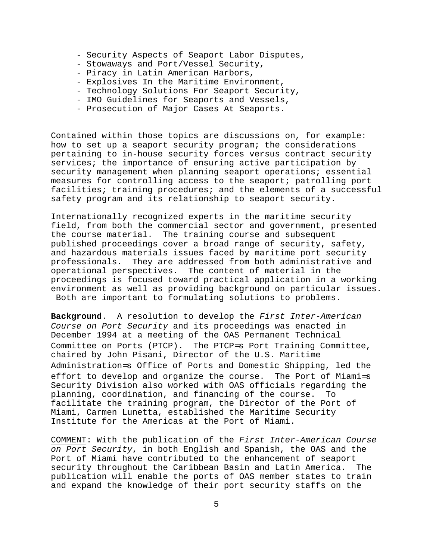- Security Aspects of Seaport Labor Disputes,
- Stowaways and Port/Vessel Security,
- Piracy in Latin American Harbors,
- Explosives In the Maritime Environment,
- Technology Solutions For Seaport Security,
- IMO Guidelines for Seaports and Vessels,
- Prosecution of Major Cases At Seaports.

Contained within those topics are discussions on, for example: how to set up a seaport security program; the considerations pertaining to in-house security forces versus contract security services; the importance of ensuring active participation by security management when planning seaport operations; essential measures for controlling access to the seaport; patrolling port facilities; training procedures; and the elements of a successful safety program and its relationship to seaport security.

Internationally recognized experts in the maritime security field, from both the commercial sector and government, presented the course material. The training course and subsequent published proceedings cover a broad range of security, safety, and hazardous materials issues faced by maritime port security professionals. They are addressed from both administrative and operational perspectives. The content of material in the proceedings is focused toward practical application in a working environment as well as providing background on particular issues. Both are important to formulating solutions to problems.

**Background**. A resolution to develop the *First Inter-American Course on Port Security* and its proceedings was enacted in December 1994 at a meeting of the OAS Permanent Technical Committee on Ports (PTCP). The PTCP=s Port Training Committee, chaired by John Pisani, Director of the U.S. Maritime Administration=s Office of Ports and Domestic Shipping, led the effort to develop and organize the course. The Port of Miami=s Security Division also worked with OAS officials regarding the planning, coordination, and financing of the course. To facilitate the training program, the Director of the Port of Miami, Carmen Lunetta, established the Maritime Security Institute for the Americas at the Port of Miami.

COMMENT: With the publication of the *First Inter-American Course on Port Security*, in both English and Spanish, the OAS and the Port of Miami have contributed to the enhancement of seaport security throughout the Caribbean Basin and Latin America. The publication will enable the ports of OAS member states to train and expand the knowledge of their port security staffs on the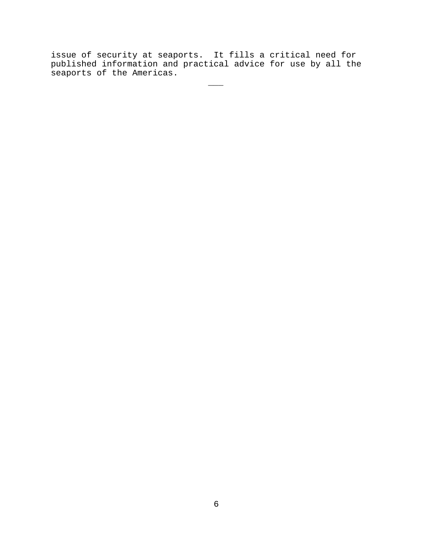issue of security at seaports. It fills a critical need for published information and practical advice for use by all the seaports of the Americas.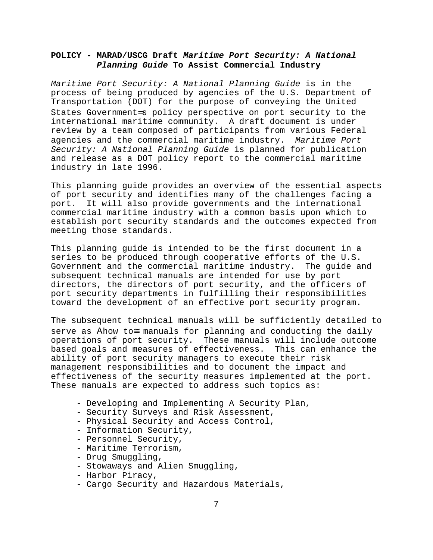# **POLICY - MARAD/USCG Draft** *Maritime Port Security: A National Planning Guide* **To Assist Commercial Industry**

*Maritime Port Security: A National Planning Guide* is in the process of being produced by agencies of the U.S. Department of Transportation (DOT) for the purpose of conveying the United States Government=s policy perspective on port security to the international maritime community. A draft document is under review by a team composed of participants from various Federal agencies and the commercial maritime industry. *Maritime Port Security: A National Planning Guide* is planned for publication and release as a DOT policy report to the commercial maritime industry in late 1996.

This planning guide provides an overview of the essential aspects of port security and identifies many of the challenges facing a port. It will also provide governments and the international commercial maritime industry with a common basis upon which to establish port security standards and the outcomes expected from meeting those standards.

This planning guide is intended to be the first document in a series to be produced through cooperative efforts of the U.S. Government and the commercial maritime industry. The guide and subsequent technical manuals are intended for use by port directors, the directors of port security, and the officers of port security departments in fulfilling their responsibilities toward the development of an effective port security program.

The subsequent technical manuals will be sufficiently detailed to serve as Ahow to≅ manuals for planning and conducting the daily operations of port security. These manuals will include outcome based goals and measures of effectiveness. This can enhance the ability of port security managers to execute their risk management responsibilities and to document the impact and effectiveness of the security measures implemented at the port. These manuals are expected to address such topics as:

- Developing and Implementing A Security Plan,
- Security Surveys and Risk Assessment,
- Physical Security and Access Control,
- Information Security,
- Personnel Security,
- Maritime Terrorism,
- Drug Smuggling,
- Stowaways and Alien Smuggling,
- Harbor Piracy,
- Cargo Security and Hazardous Materials,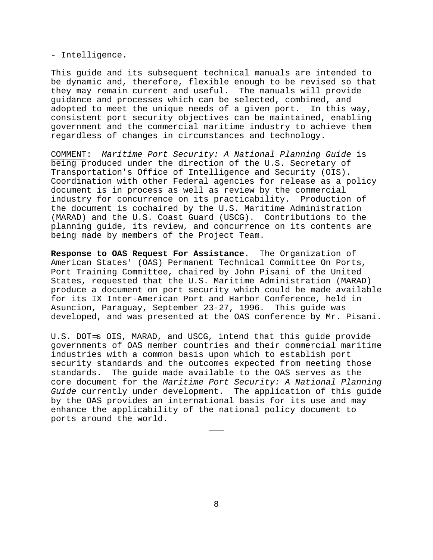- Intelligence.

This guide and its subsequent technical manuals are intended to be dynamic and, therefore, flexible enough to be revised so that they may remain current and useful. The manuals will provide guidance and processes which can be selected, combined, and adopted to meet the unique needs of a given port. In this way, consistent port security objectives can be maintained, enabling government and the commercial maritime industry to achieve them regardless of changes in circumstances and technology.

COMMENT: *Maritime Port Security: A National Planning Guide* is being produced under the direction of the U.S. Secretary of Transportation's Office of Intelligence and Security (OIS). Coordination with other Federal agencies for release as a policy document is in process as well as review by the commercial industry for concurrence on its practicability. Production of the document is cochaired by the U.S. Maritime Administration (MARAD) and the U.S. Coast Guard (USCG). Contributions to the planning guide, its review, and concurrence on its contents are being made by members of the Project Team.

**Response to OAS Request For Assistance**. The Organization of American States' (OAS) Permanent Technical Committee On Ports, Port Training Committee, chaired by John Pisani of the United States, requested that the U.S. Maritime Administration (MARAD) produce a document on port security which could be made available for its IX Inter-American Port and Harbor Conference, held in Asuncion, Paraguay, September 23-27, 1996. This guide was developed, and was presented at the OAS conference by Mr. Pisani.

U.S. DOT=s OIS, MARAD, and USCG, intend that this guide provide governments of OAS member countries and their commercial maritime industries with a common basis upon which to establish port security standards and the outcomes expected from meeting those standards. The guide made available to the OAS serves as the core document for the *Maritime Port Security: A National Planning Guide* currently under development. The application of this guide by the OAS provides an international basis for its use and may enhance the applicability of the national policy document to ports around the world.